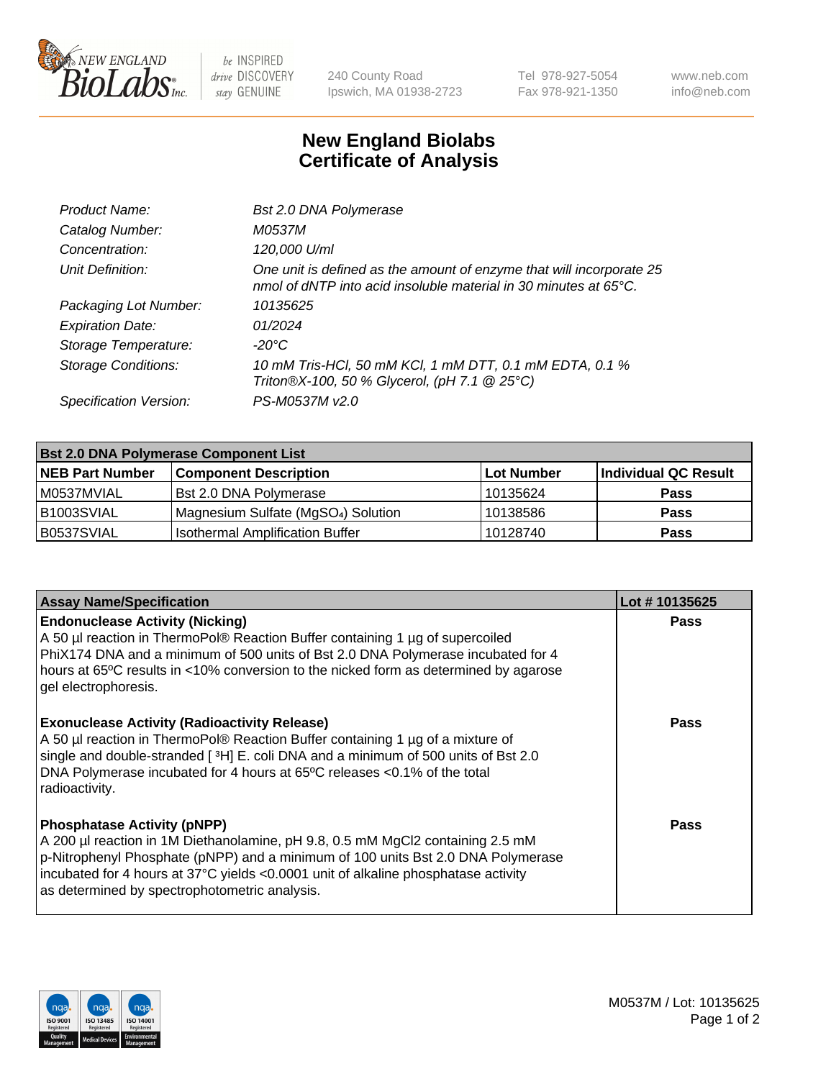

 $be$  INSPIRED drive DISCOVERY stay GENUINE

240 County Road Ipswich, MA 01938-2723 Tel 978-927-5054 Fax 978-921-1350 www.neb.com info@neb.com

## **New England Biolabs Certificate of Analysis**

| Bst 2.0 DNA Polymerase                                                                                                                   |
|------------------------------------------------------------------------------------------------------------------------------------------|
| M0537M                                                                                                                                   |
| 120,000 U/ml                                                                                                                             |
| One unit is defined as the amount of enzyme that will incorporate 25<br>nmol of dNTP into acid insoluble material in 30 minutes at 65°C. |
| 10135625                                                                                                                                 |
| 01/2024                                                                                                                                  |
| -20°C                                                                                                                                    |
| 10 mM Tris-HCl, 50 mM KCl, 1 mM DTT, 0.1 mM EDTA, 0.1 %<br>Triton®X-100, 50 % Glycerol, (pH 7.1 @ 25°C)                                  |
| PS-M0537M v2.0                                                                                                                           |
|                                                                                                                                          |

| <b>Bst 2.0 DNA Polymerase Component List</b> |                                                 |            |                      |  |  |
|----------------------------------------------|-------------------------------------------------|------------|----------------------|--|--|
| <b>NEB Part Number</b>                       | <b>Component Description</b>                    | Lot Number | Individual QC Result |  |  |
| M0537MVIAL                                   | Bst 2.0 DNA Polymerase                          | 10135624   | <b>Pass</b>          |  |  |
| B <sub>1003</sub> SVIAL                      | Magnesium Sulfate (MgSO <sub>4</sub> ) Solution | 10138586   | <b>Pass</b>          |  |  |
| B0537SVIAL                                   | <b>Isothermal Amplification Buffer</b>          | 10128740   | <b>Pass</b>          |  |  |

| <b>Assay Name/Specification</b>                                                                                                                                                                                                                                                                                                                         | Lot #10135625 |
|---------------------------------------------------------------------------------------------------------------------------------------------------------------------------------------------------------------------------------------------------------------------------------------------------------------------------------------------------------|---------------|
| <b>Endonuclease Activity (Nicking)</b><br>A 50 µl reaction in ThermoPol® Reaction Buffer containing 1 µg of supercoiled<br>PhiX174 DNA and a minimum of 500 units of Bst 2.0 DNA Polymerase incubated for 4<br>hours at 65°C results in <10% conversion to the nicked form as determined by agarose<br>gel electrophoresis.                             | <b>Pass</b>   |
| <b>Exonuclease Activity (Radioactivity Release)</b><br>A 50 µl reaction in ThermoPol® Reaction Buffer containing 1 µg of a mixture of<br>single and double-stranded [3H] E. coli DNA and a minimum of 500 units of Bst 2.0<br>DNA Polymerase incubated for 4 hours at 65°C releases <0.1% of the total<br>radioactivity.                                | Pass          |
| <b>Phosphatase Activity (pNPP)</b><br>A 200 µl reaction in 1M Diethanolamine, pH 9.8, 0.5 mM MgCl2 containing 2.5 mM<br>$\vert$ p-Nitrophenyl Phosphate (pNPP) and a minimum of 100 units Bst 2.0 DNA Polymerase<br>incubated for 4 hours at 37°C yields <0.0001 unit of alkaline phosphatase activity<br>as determined by spectrophotometric analysis. | Pass          |